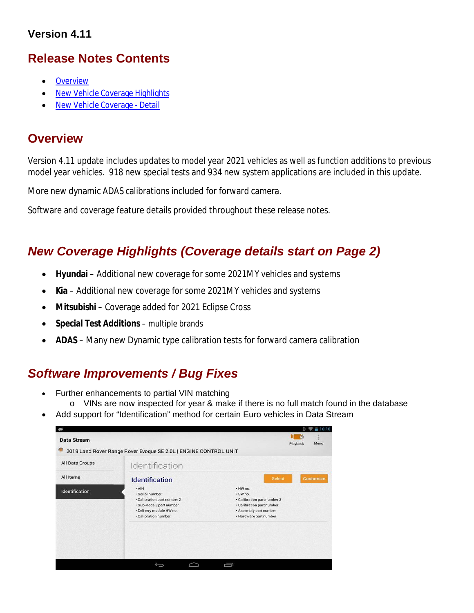## **Version 4.11**

# **Release Notes Contents**

- **Overview**
- New Vehicle Coverage Highlights
- New Vehicle Coverage Detail

# **Overview**

Version 4.11 update includes updates to model year 2021 vehicles as well as function additions to previous model year vehicles. 918 new special tests and 934 new system applications are included in this update.

More new dynamic ADAS calibrations included for forward camera.

Software and coverage feature details provided throughout these release notes.

# *New Coverage Highlights (Coverage details start on Page 2)*

- **Hyundai** Additional new coverage for some 2021MY vehicles and systems
- **Kia** Additional new coverage for some 2021MY vehicles and systems
- **Mitsubishi**  Coverage added for 2021 Eclipse Cross
- **•** Special Test Additions multiple brands
- **ADAS** Many new Dynamic type calibration tests for forward camera calibration

# *Software Improvements / Bug Fixes*

- Further enhancements to partial VIN matching
	- o VINs are now inspected for year & make if there is no full match found in the database
- Add support for "Identification" method for certain Euro vehicles in Data Stream

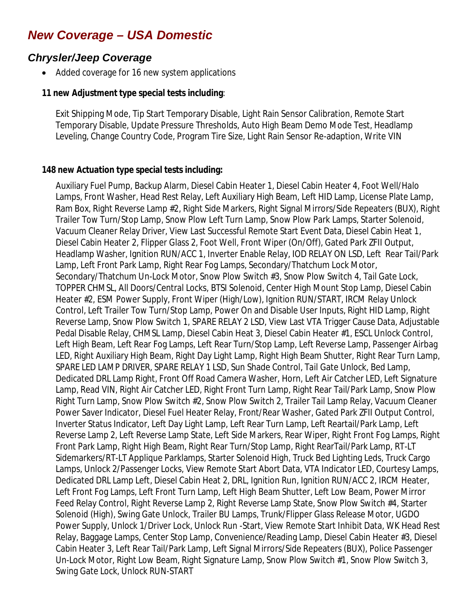# *New Coverage – USA Domestic*

## *Chrysler/Jeep Coverage*

Added coverage for 16 new system applications

#### **11 new Adjustment type special tests including**:

Exit Shipping Mode, Tip Start Temporary Disable, Light Rain Sensor Calibration, Remote Start Temporary Disable, Update Pressure Thresholds, Auto High Beam Demo Mode Test, Headlamp Leveling, Change Country Code, Program Tire Size, Light Rain Sensor Re-adaption, Write VIN

#### **148 new Actuation type special tests including:**

Auxiliary Fuel Pump, Backup Alarm, Diesel Cabin Heater 1, Diesel Cabin Heater 4, Foot Well/Halo Lamps, Front Washer, Head Rest Relay, Left Auxiliary High Beam, Left HID Lamp, License Plate Lamp, Ram Box, Right Reverse Lamp #2, Right Side Markers, Right Signal Mirrors/Side Repeaters (BUX), Right Trailer Tow Turn/Stop Lamp, Snow Plow Left Turn Lamp, Snow Plow Park Lamps, Starter Solenoid, Vacuum Cleaner Relay Driver, View Last Successful Remote Start Event Data, Diesel Cabin Heat 1, Diesel Cabin Heater 2, Flipper Glass 2, Foot Well, Front Wiper (On/Off), Gated Park ZFII Output, Headlamp Washer, Ignition RUN/ACC 1, Inverter Enable Relay, IOD RELAY ON LSD, Left Rear Tail/Park Lamp, Left Front Park Lamp, Right Rear Fog Lamps, Secondary/Thatchum Lock Motor, Secondary/Thatchum Un-Lock Motor, Snow Plow Switch #3, Snow Plow Switch 4, Tail Gate Lock, TOPPER CHMSL, All Doors/Central Locks, BTSI Solenoid, Center High Mount Stop Lamp, Diesel Cabin Heater #2, ESM Power Supply, Front Wiper (High/Low), Ignition RUN/START, IRCM Relay Unlock Control, Left Trailer Tow Turn/Stop Lamp, Power On and Disable User Inputs, Right HID Lamp, Right Reverse Lamp, Snow Plow Switch 1, SPARE RELAY 2 LSD, View Last VTA Trigger Cause Data, Adjustable Pedal Disable Relay, CHMSL Lamp, Diesel Cabin Heat 3, Diesel Cabin Heater #1, ESCL Unlock Control, Left High Beam, Left Rear Fog Lamps, Left Rear Turn/Stop Lamp, Left Reverse Lamp, Passenger Airbag LED, Right Auxiliary High Beam, Right Day Light Lamp, Right High Beam Shutter, Right Rear Turn Lamp, SPARE LED LAMP DRIVER, SPARE RELAY 1 LSD, Sun Shade Control, Tail Gate Unlock, Bed Lamp, Dedicated DRL Lamp Right, Front Off Road Camera Washer, Horn, Left Air Catcher LED, Left Signature Lamp, Read VIN, Right Air Catcher LED, Right Front Turn Lamp, Right Rear Tail/Park Lamp, Snow Plow Right Turn Lamp, Snow Plow Switch #2, Snow Plow Switch 2, Trailer Tail Lamp Relay, Vacuum Cleaner Power Saver Indicator, Diesel Fuel Heater Relay, Front/Rear Washer, Gated Park ZFII Output Control, Inverter Status Indicator, Left Day Light Lamp, Left Rear Turn Lamp, Left Reartail/Park Lamp, Left Reverse Lamp 2, Left Reverse Lamp State, Left Side Markers, Rear Wiper, Right Front Fog Lamps, Right Front Park Lamp, Right High Beam, Right Rear Turn/Stop Lamp, Right RearTail/Park Lamp, RT-LT Sidemarkers/RT-LT Applique Parklamps, Starter Solenoid High, Truck Bed Lighting Leds, Truck Cargo Lamps, Unlock 2/Passenger Locks, View Remote Start Abort Data, VTA Indicator LED, Courtesy Lamps, Dedicated DRL Lamp Left, Diesel Cabin Heat 2, DRL, Ignition Run, Ignition RUN/ACC 2, IRCM Heater, Left Front Fog Lamps, Left Front Turn Lamp, Left High Beam Shutter, Left Low Beam, Power Mirror Feed Relay Control, Right Reverse Lamp 2, Right Reverse Lamp State, Snow Plow Switch #4, Starter Solenoid (High), Swing Gate Unlock, Trailer BU Lamps, Trunk/Flipper Glass Release Motor, UGDO Power Supply, Unlock 1/Driver Lock, Unlock Run -Start, View Remote Start Inhibit Data, WK Head Rest Relay, Baggage Lamps, Center Stop Lamp, Convenience/Reading Lamp, Diesel Cabin Heater #3, Diesel Cabin Heater 3, Left Rear Tail/Park Lamp, Left Signal Mirrors/Side Repeaters (BUX), Police Passenger Un-Lock Motor, Right Low Beam, Right Signature Lamp, Snow Plow Switch #1, Snow Plow Switch 3, Swing Gate Lock, Unlock RUN-START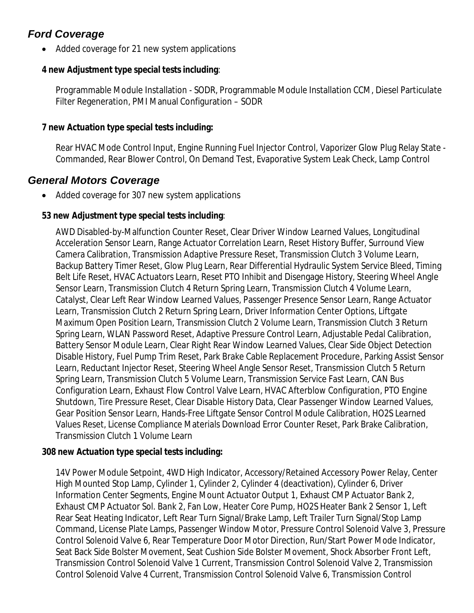# *Ford Coverage*

• Added coverage for 21 new system applications

#### **4 new Adjustment type special tests including**:

Programmable Module Installation - SODR, Programmable Module Installation CCM, Diesel Particulate Filter Regeneration, PMI Manual Configuration – SODR

#### **7 new Actuation type special tests including:**

Rear HVAC Mode Control Input, Engine Running Fuel Injector Control, Vaporizer Glow Plug Relay State - Commanded, Rear Blower Control, On Demand Test, Evaporative System Leak Check, Lamp Control

## *General Motors Coverage*

• Added coverage for 307 new system applications

#### **53 new Adjustment type special tests including**:

AWD Disabled-by-Malfunction Counter Reset, Clear Driver Window Learned Values, Longitudinal Acceleration Sensor Learn, Range Actuator Correlation Learn, Reset History Buffer, Surround View Camera Calibration, Transmission Adaptive Pressure Reset, Transmission Clutch 3 Volume Learn, Backup Battery Timer Reset, Glow Plug Learn, Rear Differential Hydraulic System Service Bleed, Timing Belt Life Reset, HVAC Actuators Learn, Reset PTO Inhibit and Disengage History, Steering Wheel Angle Sensor Learn, Transmission Clutch 4 Return Spring Learn, Transmission Clutch 4 Volume Learn, Catalyst, Clear Left Rear Window Learned Values, Passenger Presence Sensor Learn, Range Actuator Learn, Transmission Clutch 2 Return Spring Learn, Driver Information Center Options, Liftgate Maximum Open Position Learn, Transmission Clutch 2 Volume Learn, Transmission Clutch 3 Return Spring Learn, WLAN Password Reset, Adaptive Pressure Control Learn, Adjustable Pedal Calibration, Battery Sensor Module Learn, Clear Right Rear Window Learned Values, Clear Side Object Detection Disable History, Fuel Pump Trim Reset, Park Brake Cable Replacement Procedure, Parking Assist Sensor Learn, Reductant Injector Reset, Steering Wheel Angle Sensor Reset, Transmission Clutch 5 Return Spring Learn, Transmission Clutch 5 Volume Learn, Transmission Service Fast Learn, CAN Bus Configuration Learn, Exhaust Flow Control Valve Learn, HVAC Afterblow Configuration, PTO Engine Shutdown, Tire Pressure Reset, Clear Disable History Data, Clear Passenger Window Learned Values, Gear Position Sensor Learn, Hands-Free Liftgate Sensor Control Module Calibration, HO2S Learned Values Reset, License Compliance Materials Download Error Counter Reset, Park Brake Calibration, Transmission Clutch 1 Volume Learn

#### **308 new Actuation type special tests including:**

14V Power Module Setpoint, 4WD High Indicator, Accessory/Retained Accessory Power Relay, Center High Mounted Stop Lamp, Cylinder 1, Cylinder 2, Cylinder 4 (deactivation), Cylinder 6, Driver Information Center Segments, Engine Mount Actuator Output 1, Exhaust CMP Actuator Bank 2, Exhaust CMP Actuator Sol. Bank 2, Fan Low, Heater Core Pump, HO2S Heater Bank 2 Sensor 1, Left Rear Seat Heating Indicator, Left Rear Turn Signal/Brake Lamp, Left Trailer Turn Signal/Stop Lamp Command, License Plate Lamps, Passenger Window Motor, Pressure Control Solenoid Valve 3, Pressure Control Solenoid Valve 6, Rear Temperature Door Motor Direction, Run/Start Power Mode Indicator, Seat Back Side Bolster Movement, Seat Cushion Side Bolster Movement, Shock Absorber Front Left, Transmission Control Solenoid Valve 1 Current, Transmission Control Solenoid Valve 2, Transmission Control Solenoid Valve 4 Current, Transmission Control Solenoid Valve 6, Transmission Control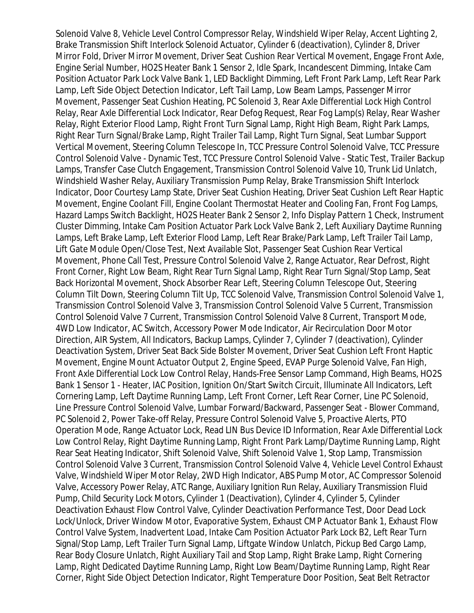Solenoid Valve 8, Vehicle Level Control Compressor Relay, Windshield Wiper Relay, Accent Lighting 2, Brake Transmission Shift Interlock Solenoid Actuator, Cylinder 6 (deactivation), Cylinder 8, Driver Mirror Fold, Driver Mirror Movement, Driver Seat Cushion Rear Vertical Movement, Engage Front Axle, Engine Serial Number, HO2S Heater Bank 1 Sensor 2, Idle Spark, Incandescent Dimming, Intake Cam Position Actuator Park Lock Valve Bank 1, LED Backlight Dimming, Left Front Park Lamp, Left Rear Park Lamp, Left Side Object Detection Indicator, Left Tail Lamp, Low Beam Lamps, Passenger Mirror Movement, Passenger Seat Cushion Heating, PC Solenoid 3, Rear Axle Differential Lock High Control Relay, Rear Axle Differential Lock Indicator, Rear Defog Request, Rear Fog Lamp(s) Relay, Rear Washer Relay, Right Exterior Flood Lamp, Right Front Turn Signal Lamp, Right High Beam, Right Park Lamps, Right Rear Turn Signal/Brake Lamp, Right Trailer Tail Lamp, Right Turn Signal, Seat Lumbar Support Vertical Movement, Steering Column Telescope In, TCC Pressure Control Solenoid Valve, TCC Pressure Control Solenoid Valve - Dynamic Test, TCC Pressure Control Solenoid Valve - Static Test, Trailer Backup Lamps, Transfer Case Clutch Engagement, Transmission Control Solenoid Valve 10, Trunk Lid Unlatch, Windshield Washer Relay, Auxiliary Transmission Pump Relay, Brake Transmission Shift Interlock Indicator, Door Courtesy Lamp State, Driver Seat Cushion Heating, Driver Seat Cushion Left Rear Haptic Movement, Engine Coolant Fill, Engine Coolant Thermostat Heater and Cooling Fan, Front Fog Lamps, Hazard Lamps Switch Backlight, HO2S Heater Bank 2 Sensor 2, Info Display Pattern 1 Check, Instrument Cluster Dimming, Intake Cam Position Actuator Park Lock Valve Bank 2, Left Auxiliary Daytime Running Lamps, Left Brake Lamp, Left Exterior Flood Lamp, Left Rear Brake/Park Lamp, Left Trailer Tail Lamp, Lift Gate Module Open/Close Test, Next Available Slot, Passenger Seat Cushion Rear Vertical Movement, Phone Call Test, Pressure Control Solenoid Valve 2, Range Actuator, Rear Defrost, Right Front Corner, Right Low Beam, Right Rear Turn Signal Lamp, Right Rear Turn Signal/Stop Lamp, Seat Back Horizontal Movement, Shock Absorber Rear Left, Steering Column Telescope Out, Steering Column Tilt Down, Steering Column Tilt Up, TCC Solenoid Valve, Transmission Control Solenoid Valve 1, Transmission Control Solenoid Valve 3, Transmission Control Solenoid Valve 5 Current, Transmission Control Solenoid Valve 7 Current, Transmission Control Solenoid Valve 8 Current, Transport Mode, 4WD Low Indicator, AC Switch, Accessory Power Mode Indicator, Air Recirculation Door Motor Direction, AIR System, All Indicators, Backup Lamps, Cylinder 7, Cylinder 7 (deactivation), Cylinder Deactivation System, Driver Seat Back Side Bolster Movement, Driver Seat Cushion Left Front Haptic Movement, Engine Mount Actuator Output 2, Engine Speed, EVAP Purge Solenoid Valve, Fan High, Front Axle Differential Lock Low Control Relay, Hands-Free Sensor Lamp Command, High Beams, HO2S Bank 1 Sensor 1 - Heater, IAC Position, Ignition On/Start Switch Circuit, Illuminate All Indicators, Left Cornering Lamp, Left Daytime Running Lamp, Left Front Corner, Left Rear Corner, Line PC Solenoid, Line Pressure Control Solenoid Valve, Lumbar Forward/Backward, Passenger Seat - Blower Command, PC Solenoid 2, Power Take-off Relay, Pressure Control Solenoid Valve 5, Proactive Alerts, PTO Operation Mode, Range Actuator Lock, Read LIN Bus Device ID Information, Rear Axle Differential Lock Low Control Relay, Right Daytime Running Lamp, Right Front Park Lamp/Daytime Running Lamp, Right Rear Seat Heating Indicator, Shift Solenoid Valve, Shift Solenoid Valve 1, Stop Lamp, Transmission Control Solenoid Valve 3 Current, Transmission Control Solenoid Valve 4, Vehicle Level Control Exhaust Valve, Windshield Wiper Motor Relay, 2WD High Indicator, ABS Pump Motor, AC Compressor Solenoid Valve, Accessory Power Relay, ATC Range, Auxiliary Ignition Run Relay, Auxiliary Transmission Fluid Pump, Child Security Lock Motors, Cylinder 1 (Deactivation), Cylinder 4, Cylinder 5, Cylinder Deactivation Exhaust Flow Control Valve, Cylinder Deactivation Performance Test, Door Dead Lock Lock/Unlock, Driver Window Motor, Evaporative System, Exhaust CMP Actuator Bank 1, Exhaust Flow Control Valve System, Inadvertent Load, Intake Cam Position Actuator Park Lock B2, Left Rear Turn Signal/Stop Lamp, Left Trailer Turn Signal Lamp, Liftgate Window Unlatch, Pickup Bed Cargo Lamp, Rear Body Closure Unlatch, Right Auxiliary Tail and Stop Lamp, Right Brake Lamp, Right Cornering Lamp, Right Dedicated Daytime Running Lamp, Right Low Beam/Daytime Running Lamp, Right Rear Corner, Right Side Object Detection Indicator, Right Temperature Door Position, Seat Belt Retractor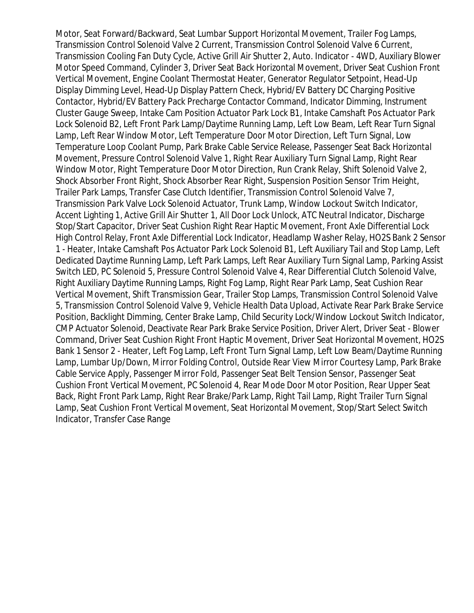Motor, Seat Forward/Backward, Seat Lumbar Support Horizontal Movement, Trailer Fog Lamps, Transmission Control Solenoid Valve 2 Current, Transmission Control Solenoid Valve 6 Current, Transmission Cooling Fan Duty Cycle, Active Grill Air Shutter 2, Auto. Indicator - 4WD, Auxiliary Blower Motor Speed Command, Cylinder 3, Driver Seat Back Horizontal Movement, Driver Seat Cushion Front Vertical Movement, Engine Coolant Thermostat Heater, Generator Regulator Setpoint, Head-Up Display Dimming Level, Head-Up Display Pattern Check, Hybrid/EV Battery DC Charging Positive Contactor, Hybrid/EV Battery Pack Precharge Contactor Command, Indicator Dimming, Instrument Cluster Gauge Sweep, Intake Cam Position Actuator Park Lock B1, Intake Camshaft Pos Actuator Park Lock Solenoid B2, Left Front Park Lamp/Daytime Running Lamp, Left Low Beam, Left Rear Turn Signal Lamp, Left Rear Window Motor, Left Temperature Door Motor Direction, Left Turn Signal, Low Temperature Loop Coolant Pump, Park Brake Cable Service Release, Passenger Seat Back Horizontal Movement, Pressure Control Solenoid Valve 1, Right Rear Auxiliary Turn Signal Lamp, Right Rear Window Motor, Right Temperature Door Motor Direction, Run Crank Relay, Shift Solenoid Valve 2, Shock Absorber Front Right, Shock Absorber Rear Right, Suspension Position Sensor Trim Height, Trailer Park Lamps, Transfer Case Clutch Identifier, Transmission Control Solenoid Valve 7, Transmission Park Valve Lock Solenoid Actuator, Trunk Lamp, Window Lockout Switch Indicator, Accent Lighting 1, Active Grill Air Shutter 1, All Door Lock Unlock, ATC Neutral Indicator, Discharge Stop/Start Capacitor, Driver Seat Cushion Right Rear Haptic Movement, Front Axle Differential Lock High Control Relay, Front Axle Differential Lock Indicator, Headlamp Washer Relay, HO2S Bank 2 Sensor 1 - Heater, Intake Camshaft Pos Actuator Park Lock Solenoid B1, Left Auxiliary Tail and Stop Lamp, Left Dedicated Daytime Running Lamp, Left Park Lamps, Left Rear Auxiliary Turn Signal Lamp, Parking Assist Switch LED, PC Solenoid 5, Pressure Control Solenoid Valve 4, Rear Differential Clutch Solenoid Valve, Right Auxiliary Daytime Running Lamps, Right Fog Lamp, Right Rear Park Lamp, Seat Cushion Rear Vertical Movement, Shift Transmission Gear, Trailer Stop Lamps, Transmission Control Solenoid Valve 5, Transmission Control Solenoid Valve 9, Vehicle Health Data Upload, Activate Rear Park Brake Service Position, Backlight Dimming, Center Brake Lamp, Child Security Lock/Window Lockout Switch Indicator, CMP Actuator Solenoid, Deactivate Rear Park Brake Service Position, Driver Alert, Driver Seat - Blower Command, Driver Seat Cushion Right Front Haptic Movement, Driver Seat Horizontal Movement, HO2S Bank 1 Sensor 2 - Heater, Left Fog Lamp, Left Front Turn Signal Lamp, Left Low Beam/Daytime Running Lamp, Lumbar Up/Down, Mirror Folding Control, Outside Rear View Mirror Courtesy Lamp, Park Brake Cable Service Apply, Passenger Mirror Fold, Passenger Seat Belt Tension Sensor, Passenger Seat Cushion Front Vertical Movement, PC Solenoid 4, Rear Mode Door Motor Position, Rear Upper Seat Back, Right Front Park Lamp, Right Rear Brake/Park Lamp, Right Tail Lamp, Right Trailer Turn Signal Lamp, Seat Cushion Front Vertical Movement, Seat Horizontal Movement, Stop/Start Select Switch Indicator, Transfer Case Range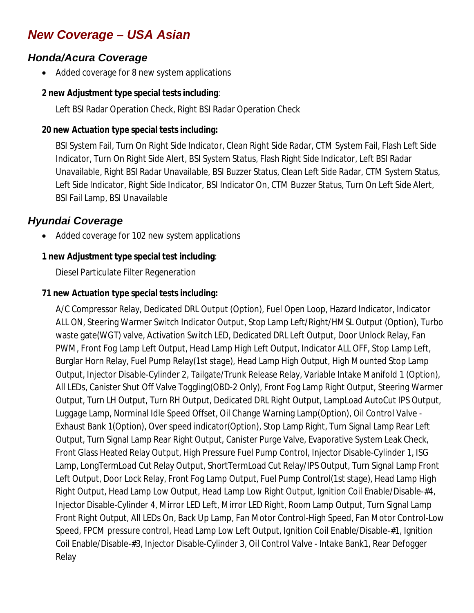# *New Coverage – USA Asian*

## *Honda/Acura Coverage*

Added coverage for 8 new system applications

#### **2 new Adjustment type special tests including**:

Left BSI Radar Operation Check, Right BSI Radar Operation Check

## **20 new Actuation type special tests including:**

BSI System Fail, Turn On Right Side Indicator, Clean Right Side Radar, CTM System Fail, Flash Left Side Indicator, Turn On Right Side Alert, BSI System Status, Flash Right Side Indicator, Left BSI Radar Unavailable, Right BSI Radar Unavailable, BSI Buzzer Status, Clean Left Side Radar, CTM System Status, Left Side Indicator, Right Side Indicator, BSI Indicator On, CTM Buzzer Status, Turn On Left Side Alert, BSI Fail Lamp, BSI Unavailable

# *Hyundai Coverage*

Added coverage for 102 new system applications

## **1 new Adjustment type special test including**:

Diesel Particulate Filter Regeneration

## **71 new Actuation type special tests including:**

A/C Compressor Relay, Dedicated DRL Output (Option), Fuel Open Loop, Hazard Indicator, Indicator ALL ON, Steering Warmer Switch Indicator Output, Stop Lamp Left/Right/HMSL Output (Option), Turbo waste gate(WGT) valve, Activation Switch LED, Dedicated DRL Left Output, Door Unlock Relay, Fan PWM, Front Fog Lamp Left Output, Head Lamp High Left Output, Indicator ALL OFF, Stop Lamp Left, Burglar Horn Relay, Fuel Pump Relay(1st stage), Head Lamp High Output, High Mounted Stop Lamp Output, Injector Disable-Cylinder 2, Tailgate/Trunk Release Relay, Variable Intake Manifold 1 (Option), All LEDs, Canister Shut Off Valve Toggling(OBD-2 Only), Front Fog Lamp Right Output, Steering Warmer Output, Turn LH Output, Turn RH Output, Dedicated DRL Right Output, LampLoad AutoCut IPS Output, Luggage Lamp, Norminal Idle Speed Offset, Oil Change Warning Lamp(Option), Oil Control Valve - Exhaust Bank 1(Option), Over speed indicator(Option), Stop Lamp Right, Turn Signal Lamp Rear Left Output, Turn Signal Lamp Rear Right Output, Canister Purge Valve, Evaporative System Leak Check, Front Glass Heated Relay Output, High Pressure Fuel Pump Control, Injector Disable-Cylinder 1, ISG Lamp, LongTermLoad Cut Relay Output, ShortTermLoad Cut Relay/IPS Output, Turn Signal Lamp Front Left Output, Door Lock Relay, Front Fog Lamp Output, Fuel Pump Control(1st stage), Head Lamp High Right Output, Head Lamp Low Output, Head Lamp Low Right Output, Ignition Coil Enable/Disable-#4, Injector Disable-Cylinder 4, Mirror LED Left, Mirror LED Right, Room Lamp Output, Turn Signal Lamp Front Right Output, All LEDs On, Back Up Lamp, Fan Motor Control-High Speed, Fan Motor Control-Low Speed, FPCM pressure control, Head Lamp Low Left Output, Ignition Coil Enable/Disable-#1, Ignition Coil Enable/Disable-#3, Injector Disable-Cylinder 3, Oil Control Valve - Intake Bank1, Rear Defogger Relay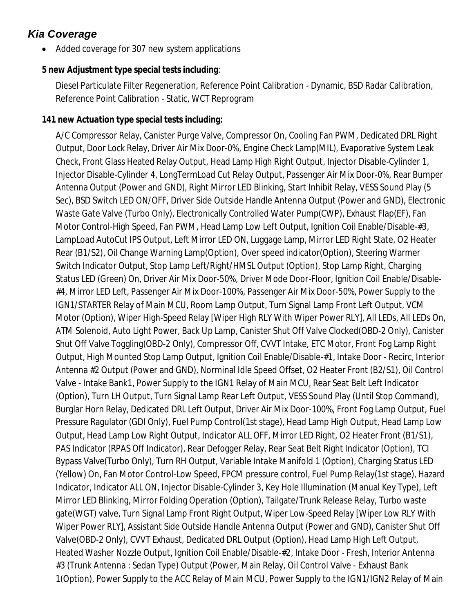# *Kia Coverage*

• Added coverage for 307 new system applications

#### **5 new Adjustment type special tests including**:

Diesel Particulate Filter Regeneration, Reference Point Calibration - Dynamic, BSD Radar Calibration, Reference Point Calibration - Static, WCT Reprogram

#### **141 new Actuation type special tests including:**

A/C Compressor Relay, Canister Purge Valve, Compressor On, Cooling Fan PWM, Dedicated DRL Right Output, Door Lock Relay, Driver Air Mix Door-0%, Engine Check Lamp(MIL), Evaporative System Leak Check, Front Glass Heated Relay Output, Head Lamp High Right Output, Injector Disable-Cylinder 1, Injector Disable-Cylinder 4, LongTermLoad Cut Relay Output, Passenger Air Mix Door-0%, Rear Bumper Antenna Output (Power and GND), Right Mirror LED Blinking, Start Inhibit Relay, VESS Sound Play (5 Sec), BSD Switch LED ON/OFF, Driver Side Outside Handle Antenna Output (Power and GND), Electronic Waste Gate Valve (Turbo Only), Electronically Controlled Water Pump(CWP), Exhaust Flap(EF), Fan Motor Control-High Speed, Fan PWM, Head Lamp Low Left Output, Ignition Coil Enable/Disable-#3, LampLoad AutoCut IPS Output, Left Mirror LED ON, Luggage Lamp, Mirror LED Right State, O2 Heater Rear (B1/S2), Oil Change Warning Lamp(Option), Over speed indicator(Option), Steering Warmer Switch Indicator Output, Stop Lamp Left/Right/HMSL Output (Option), Stop Lamp Right, Charging Status LED (Green) On, Driver Air Mix Door-50%, Driver Mode Door-Floor, Ignition Coil Enable/Disable- #4, Mirror LED Left, Passenger Air Mix Door-100%, Passenger Air Mix Door-50%, Power Supply to the IGN1/STARTER Relay of Main MCU, Room Lamp Output, Turn Signal Lamp Front Left Output, VCM Motor (Option), Wiper High-Speed Relay [Wiper High RLY With Wiper Power RLY], All LEDs, All LEDs On, ATM Solenoid, Auto Light Power, Back Up Lamp, Canister Shut Off Valve Clocked(OBD-2 Only), Canister Shut Off Valve Toggling(OBD-2 Only), Compressor Off, CVVT Intake, ETC Motor, Front Fog Lamp Right Output, High Mounted Stop Lamp Output, Ignition Coil Enable/Disable-#1, Intake Door - Recirc, Interior Antenna #2 Output (Power and GND), Norminal Idle Speed Offset, O2 Heater Front (B2/S1), Oil Control Valve - Intake Bank1, Power Supply to the IGN1 Relay of Main MCU, Rear Seat Belt Left Indicator (Option), Turn LH Output, Turn Signal Lamp Rear Left Output, VESS Sound Play (Until Stop Command), Burglar Horn Relay, Dedicated DRL Left Output, Driver Air Mix Door-100%, Front Fog Lamp Output, Fuel Pressure Ragulator (GDI Only), Fuel Pump Control(1st stage), Head Lamp High Output, Head Lamp Low Output, Head Lamp Low Right Output, Indicator ALL OFF, Mirror LED Right, O2 Heater Front (B1/S1), PAS Indicator (RPAS Off Indicator), Rear Defogger Relay, Rear Seat Belt Right Indicator (Option), TCI Bypass Valve(Turbo Only), Turn RH Output, Variable Intake Manifold 1 (Option), Charging Status LED (Yellow) On, Fan Motor Control-Low Speed, FPCM pressure control, Fuel Pump Relay(1st stage), Hazard Indicator, Indicator ALL ON, Injector Disable-Cylinder 3, Key Hole Illumination (Manual Key Type), Left Mirror LED Blinking, Mirror Folding Operation (Option), Tailgate/Trunk Release Relay, Turbo waste gate(WGT) valve, Turn Signal Lamp Front Right Output, Wiper Low-Speed Relay [Wiper Low RLY With Wiper Power RLY], Assistant Side Outside Handle Antenna Output (Power and GND), Canister Shut Off Valve(OBD-2 Only), CVVT Exhaust, Dedicated DRL Output (Option), Head Lamp High Left Output, Heated Washer Nozzle Output, Ignition Coil Enable/Disable-#2, Intake Door - Fresh, Interior Antenna #3 (Trunk Antenna : Sedan Type) Output (Power, Main Relay, Oil Control Valve - Exhaust Bank 1(Option), Power Supply to the ACC Relay of Main MCU, Power Supply to the IGN1/IGN2 Relay of Main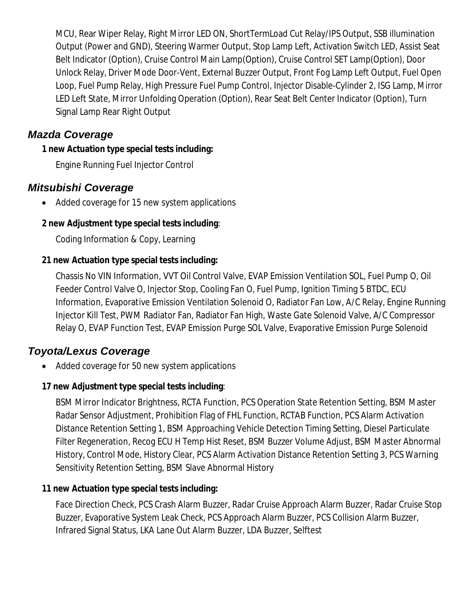MCU, Rear Wiper Relay, Right Mirror LED ON, ShortTermLoad Cut Relay/IPS Output, SSB illumination Output (Power and GND), Steering Warmer Output, Stop Lamp Left, Activation Switch LED, Assist Seat Belt Indicator (Option), Cruise Control Main Lamp(Option), Cruise Control SET Lamp(Option), Door Unlock Relay, Driver Mode Door-Vent, External Buzzer Output, Front Fog Lamp Left Output, Fuel Open Loop, Fuel Pump Relay, High Pressure Fuel Pump Control, Injector Disable-Cylinder 2, ISG Lamp, Mirror LED Left State, Mirror Unfolding Operation (Option), Rear Seat Belt Center Indicator (Option), Turn Signal Lamp Rear Right Output

## *Mazda Coverage*

#### **1 new Actuation type special tests including:**

Engine Running Fuel Injector Control

# *Mitsubishi Coverage*

• Added coverage for 15 new system applications

## **2 new Adjustment type special tests including**:

Coding Information & Copy, Learning

## **21 new Actuation type special tests including:**

Chassis No VIN Information, VVT Oil Control Valve, EVAP Emission Ventilation SOL, Fuel Pump O, Oil Feeder Control Valve O, Injector Stop, Cooling Fan O, Fuel Pump, Ignition Timing 5 BTDC, ECU Information, Evaporative Emission Ventilation Solenoid O, Radiator Fan Low, A/C Relay, Engine Running Injector Kill Test, PWM Radiator Fan, Radiator Fan High, Waste Gate Solenoid Valve, A/C Compressor Relay O, EVAP Function Test, EVAP Emission Purge SOL Valve, Evaporative Emission Purge Solenoid

# *Toyota/Lexus Coverage*

• Added coverage for 50 new system applications

## **17 new Adjustment type special tests including**:

BSM Mirror Indicator Brightness, RCTA Function, PCS Operation State Retention Setting, BSM Master Radar Sensor Adjustment, Prohibition Flag of FHL Function, RCTAB Function, PCS Alarm Activation Distance Retention Setting 1, BSM Approaching Vehicle Detection Timing Setting, Diesel Particulate Filter Regeneration, Recog ECU H Temp Hist Reset, BSM Buzzer Volume Adjust, BSM Master Abnormal History, Control Mode, History Clear, PCS Alarm Activation Distance Retention Setting 3, PCS Warning Sensitivity Retention Setting, BSM Slave Abnormal History

## **11 new Actuation type special tests including:**

Face Direction Check, PCS Crash Alarm Buzzer, Radar Cruise Approach Alarm Buzzer, Radar Cruise Stop Buzzer, Evaporative System Leak Check, PCS Approach Alarm Buzzer, PCS Collision Alarm Buzzer, Infrared Signal Status, LKA Lane Out Alarm Buzzer, LDA Buzzer, Selftest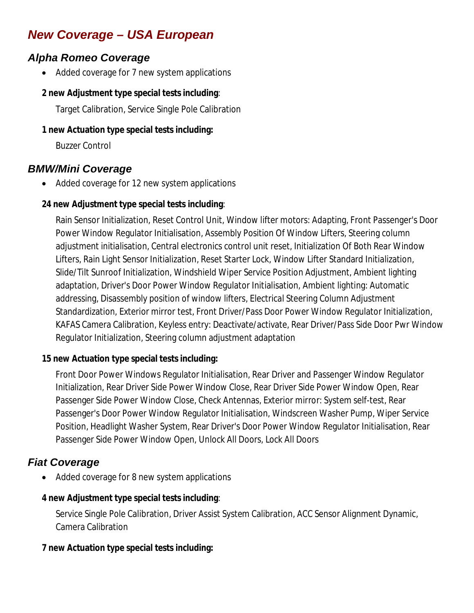# *New Coverage – USA European*

# *Alpha Romeo Coverage*

• Added coverage for 7 new system applications

#### **2 new Adjustment type special tests including**:

Target Calibration, Service Single Pole Calibration

#### **1 new Actuation type special tests including:**

Buzzer Control

## *BMW/Mini Coverage*

Added coverage for 12 new system applications

#### **24 new Adjustment type special tests including**:

Rain Sensor Initialization, Reset Control Unit, Window lifter motors: Adapting, Front Passenger's Door Power Window Regulator Initialisation, Assembly Position Of Window Lifters, Steering column adjustment initialisation, Central electronics control unit reset, Initialization Of Both Rear Window Lifters, Rain Light Sensor Initialization, Reset Starter Lock, Window Lifter Standard Initialization, Slide/Tilt Sunroof Initialization, Windshield Wiper Service Position Adjustment, Ambient lighting adaptation, Driver's Door Power Window Regulator Initialisation, Ambient lighting: Automatic addressing, Disassembly position of window lifters, Electrical Steering Column Adjustment Standardization, Exterior mirror test, Front Driver/Pass Door Power Window Regulator Initialization, KAFAS Camera Calibration, Keyless entry: Deactivate/activate, Rear Driver/Pass Side Door Pwr Window Regulator Initialization, Steering column adjustment adaptation

#### **15 new Actuation type special tests including:**

Front Door Power Windows Regulator Initialisation, Rear Driver and Passenger Window Regulator Initialization, Rear Driver Side Power Window Close, Rear Driver Side Power Window Open, Rear Passenger Side Power Window Close, Check Antennas, Exterior mirror: System self-test, Rear Passenger's Door Power Window Regulator Initialisation, Windscreen Washer Pump, Wiper Service Position, Headlight Washer System, Rear Driver's Door Power Window Regulator Initialisation, Rear Passenger Side Power Window Open, Unlock All Doors, Lock All Doors

## *Fiat Coverage*

Added coverage for 8 new system applications

#### **4 new Adjustment type special tests including**:

Service Single Pole Calibration, Driver Assist System Calibration, ACC Sensor Alignment Dynamic, Camera Calibration

#### **7 new Actuation type special tests including:**